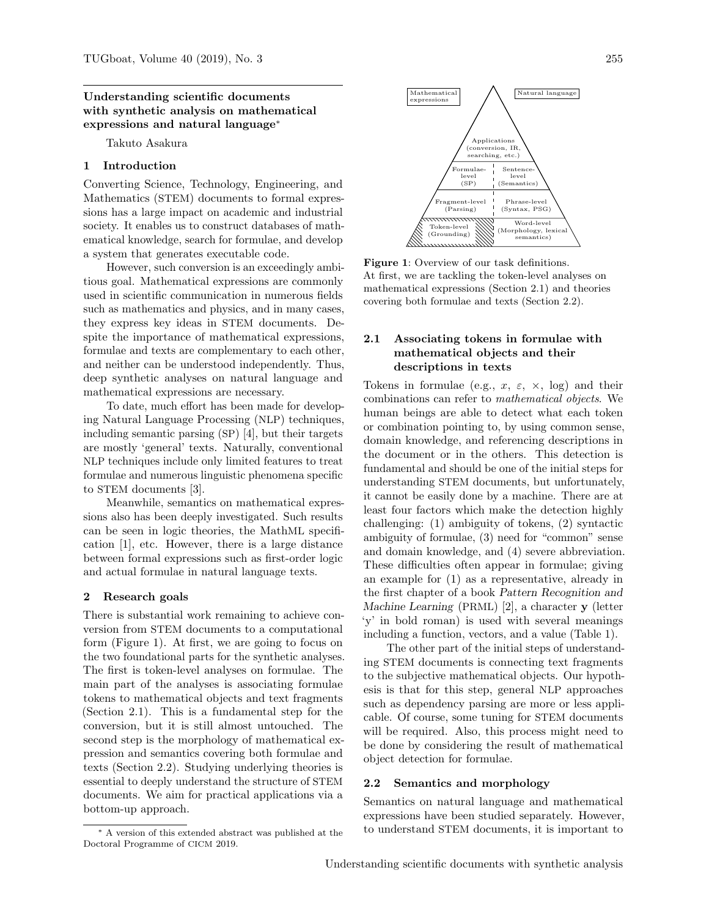## Understanding scientific documents with synthetic analysis on mathematical expressions and natural language<sup>∗</sup>

Takuto Asakura

## 1 Introduction

Converting Science, Technology, Engineering, and Mathematics (STEM) documents to formal expressions has a large impact on academic and industrial society. It enables us to construct databases of mathematical knowledge, search for formulae, and develop a system that generates executable code.

However, such conversion is an exceedingly ambitious goal. Mathematical expressions are commonly used in scientific communication in numerous fields such as mathematics and physics, and in many cases, they express key ideas in STEM documents. Despite the importance of mathematical expressions, formulae and texts are complementary to each other, and neither can be understood independently. Thus, deep synthetic analyses on natural language and mathematical expressions are necessary.

To date, much effort has been made for developing Natural Language Processing (NLP) techniques, including semantic parsing (SP) [\[4\]](#page-1-0), but their targets are mostly 'general' texts. Naturally, conventional NLP techniques include only limited features to treat formulae and numerous linguistic phenomena specific to STEM documents [\[3\]](#page-1-1).

Meanwhile, semantics on mathematical expressions also has been deeply investigated. Such results can be seen in logic theories, the MathML specification [\[1\]](#page-1-2), etc. However, there is a large distance between formal expressions such as first-order logic and actual formulae in natural language texts.

#### 2 Research goals

There is substantial work remaining to achieve conversion from STEM documents to a computational form (Figure [1\)](#page-0-0). At first, we are going to focus on the two foundational parts for the synthetic analyses. The first is token-level analyses on formulae. The main part of the analyses is associating formulae tokens to mathematical objects and text fragments (Section [2.1\)](#page-0-1). This is a fundamental step for the conversion, but it is still almost untouched. The second step is the morphology of mathematical expression and semantics covering both formulae and texts (Section [2.2\)](#page-0-2). Studying underlying theories is essential to deeply understand the structure of STEM documents. We aim for practical applications via a bottom-up approach.





<span id="page-0-0"></span>Figure 1: Overview of our task definitions. At first, we are tackling the token-level analyses on mathematical expressions (Section [2.1\)](#page-0-1) and theories covering both formulae and texts (Section [2.2\)](#page-0-2).

# <span id="page-0-1"></span>2.1 Associating tokens in formulae with mathematical objects and their descriptions in texts

Tokens in formulae (e.g.,  $x, \varepsilon, \times$ , log) and their combinations can refer to mathematical objects. We human beings are able to detect what each token or combination pointing to, by using common sense, domain knowledge, and referencing descriptions in the document or in the others. This detection is fundamental and should be one of the initial steps for understanding STEM documents, but unfortunately, it cannot be easily done by a machine. There are at least four factors which make the detection highly challenging: (1) ambiguity of tokens, (2) syntactic ambiguity of formulae, (3) need for "common" sense and domain knowledge, and (4) severe abbreviation. These difficulties often appear in formulae; giving an example for (1) as a representative, already in the first chapter of a book Pattern Recognition and Machine Learning (PRML) [\[2\]](#page-1-3), a character y (letter 'y' in bold roman) is used with several meanings including a function, vectors, and a value (Table [1\)](#page-1-4).

The other part of the initial steps of understanding STEM documents is connecting text fragments to the subjective mathematical objects. Our hypothesis is that for this step, general NLP approaches such as dependency parsing are more or less applicable. Of course, some tuning for STEM documents will be required. Also, this process might need to be done by considering the result of mathematical object detection for formulae.

#### <span id="page-0-2"></span>2.2 Semantics and morphology

Semantics on natural language and mathematical expressions have been studied separately. However, to understand STEM documents, it is important to